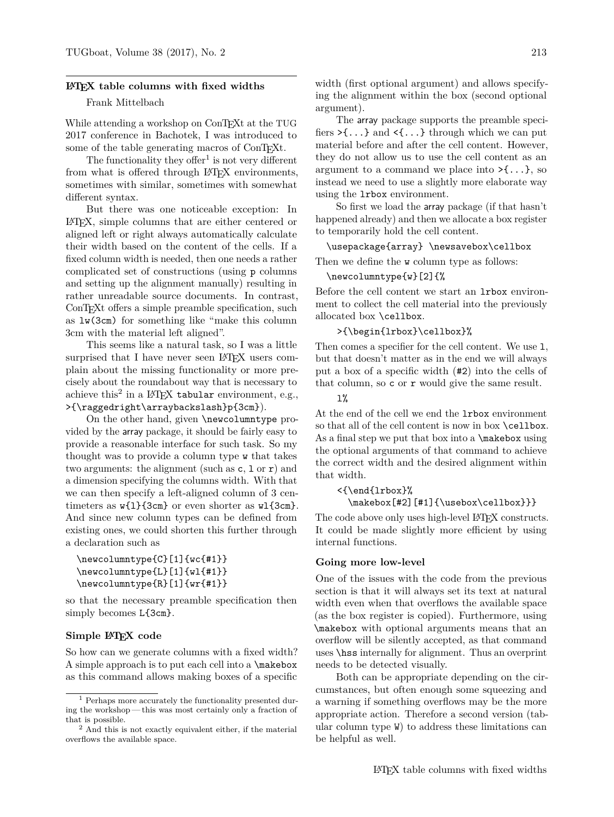#### **LATEX table columns with fixed widths**

# Frank Mittelbach

While attending a workshop on ConTEXt at the TUG 2017 conference in Bachotek, I was introduced to some of the table generating macros of ConTEXt.

The functionality they offer<sup>1</sup> is not very different from what is offered through LAT<sub>EX</sub> environments, sometimes with similar, sometimes with somewhat different syntax.

But there was one noticeable exception: In LATEX, simple columns that are either centered or aligned left or right always automatically calculate their width based on the content of the cells. If a fixed column width is needed, then one needs a rather complicated set of constructions (using p columns and setting up the alignment manually) resulting in rather unreadable source documents. In contrast, ConT<sub>EX</sub>t offers a simple preamble specification, such as lw(3cm) for something like "make this column 3cm with the material left aligned".

This seems like a natural task, so I was a little surprised that I have never seen L<sup>AT</sup>EX users complain about the missing functionality or more precisely about the roundabout way that is necessary to achieve this<sup>2</sup> in a L<sup>AT</sup>EX tabular environment, e.g., >{\raggedright\arraybackslash}p{3cm}).

On the other hand, given \newcolumntype provided by the array package, it should be fairly easy to provide a reasonable interface for such task. So my thought was to provide a column type w that takes two arguments: the alignment (such as  $c, 1 \text{ or } r$ ) and a dimension specifying the columns width. With that we can then specify a left-aligned column of 3 centimeters as w{l}{3cm} or even shorter as wl{3cm}. And since new column types can be defined from existing ones, we could shorten this further through a declaration such as

```
\newcolumntype{C}[1]{wc{#1}}
\newcolumntype{L}[1]{wl{#1}}
\newcolumntype{R}[1]{wr{#1}}
```
so that the necessary preamble specification then simply becomes L{3cm}.

#### **Simple LATEX code**

So how can we generate columns with a fixed width? A simple approach is to put each cell into a \makebox as this command allows making boxes of a specific

width (first optional argument) and allows specifying the alignment within the box (second optional argument).

The array package supports the preamble specifiers  $\geq \{ \ldots \}$  and  $\leq \{ \ldots \}$  through which we can put material before and after the cell content. However, they do not allow us to use the cell content as an argument to a command we place into  $\geq {\ldots}$ , so instead we need to use a slightly more elaborate way using the lrbox environment.

So first we load the array package (if that hasn't happened already) and then we allocate a box register to temporarily hold the cell content.

#### \usepackage{array} \newsavebox\cellbox

Then we define the w column type as follows:

#### \newcolumntype{w}[2]{%

Before the cell content we start an lrbox environment to collect the cell material into the previously allocated box \cellbox.

#### >{\begin{lrbox}\cellbox}%

Then comes a specifier for the cell content. We use 1, but that doesn't matter as in the end we will always put a box of a specific width (#2) into the cells of that column, so c or r would give the same result.

# $1%$

At the end of the cell we end the lrbox environment so that all of the cell content is now in box \cellbox. As a final step we put that box into a  $\mathcal X$  using the optional arguments of that command to achieve the correct width and the desired alignment within that width.

```
<{\end{lrbox}%
```

```
\makebox[#2][#1]{\usebox\cellbox}}}
```
The code above only uses high-level LAT<sub>EX</sub> constructs. It could be made slightly more efficient by using internal functions.

#### **Going more low-level**

One of the issues with the code from the previous section is that it will always set its text at natural width even when that overflows the available space (as the box register is copied). Furthermore, using \makebox with optional arguments means that an overflow will be silently accepted, as that command uses \hss internally for alignment. Thus an overprint needs to be detected visually.

Both can be appropriate depending on the circumstances, but often enough some squeezing and a warning if something overflows may be the more appropriate action. Therefore a second version (tabular column type W) to address these limitations can be helpful as well.

<sup>1</sup> Perhaps more accurately the functionality presented during the workshop — this was most certainly only a fraction of that is possible.

<sup>2</sup> And this is not exactly equivalent either, if the material overflows the available space.